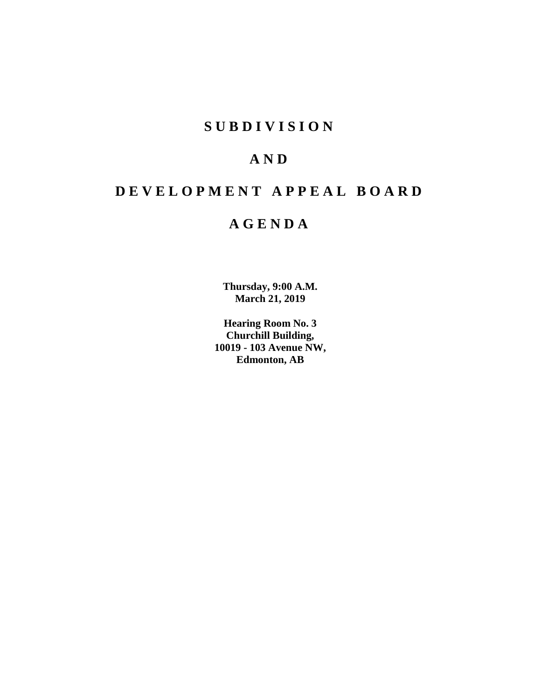# **SUBDIVISION**

# **AND**

# **DEVELOPMENT APPEAL BOARD**

# **AGENDA**

**Thursday, 9:00 A.M. March 21, 2019**

**Hearing Room No. 3 Churchill Building, 10019 - 103 Avenue NW, Edmonton, AB**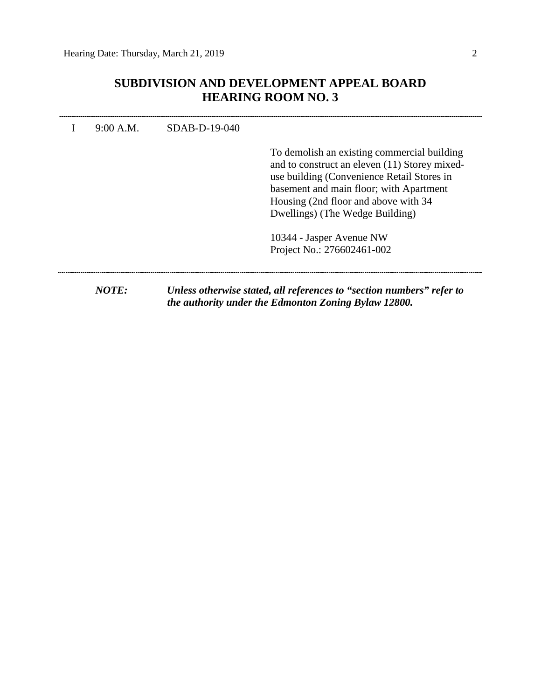## **SUBDIVISION AND DEVELOPMENT APPEAL BOARD HEARING ROOM NO. 3**

| 9:00 A.M. | SDAB-D-19-040 | To demolish an existing commercial building<br>and to construct an eleven (11) Storey mixed-<br>use building (Convenience Retail Stores in<br>basement and main floor; with Apartment |
|-----------|---------------|---------------------------------------------------------------------------------------------------------------------------------------------------------------------------------------|
|           |               | Housing (2nd floor and above with 34                                                                                                                                                  |
|           |               | Dwellings) (The Wedge Building)                                                                                                                                                       |
|           |               | 10344 - Jasper Avenue NW                                                                                                                                                              |
|           |               | Project No.: 276602461-002                                                                                                                                                            |
| NOTE:     |               | Unless otherwise stated, all references to "section numbers" refer to                                                                                                                 |
|           |               | the authority under the Edmonton Zoning Bylaw 12800.                                                                                                                                  |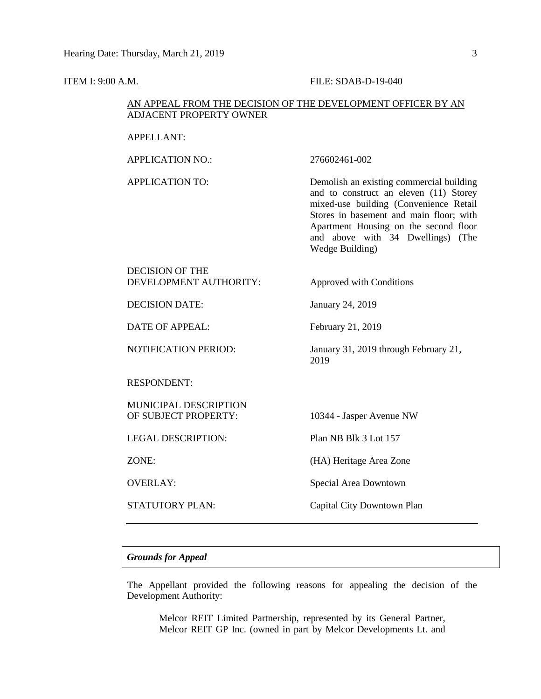#### **ITEM I: 9:00 A.M. FILE: SDAB-D-19-040**

### AN APPEAL FROM THE DECISION OF THE DEVELOPMENT OFFICER BY AN ADJACENT PROPERTY OWNER

#### APPELLANT:

APPLICATION NO.: 276602461-002

APPLICATION TO: Demolish an existing commercial building and to construct an eleven (11) Storey mixed-use building (Convenience Retail Stores in basement and main floor; with Apartment Housing on the second floor and above with 34 Dwellings) (The Wedge Building)

### DECISION OF THE DEVELOPMENT AUTHORITY: Approved with Conditions

DECISION DATE: January 24, 2019

DATE OF APPEAL: February 21, 2019

NOTIFICATION PERIOD: January 31, 2019 through February 21,

#### RESPONDENT:

MUNICIPAL DESCRIPTION OF SUBJECT PROPERTY: 10344 - Jasper Avenue NW

LEGAL DESCRIPTION: Plan NB Blk 3 Lot 157

2019

ZONE: (HA) Heritage Area Zone

OVERLAY: Special Area Downtown

STATUTORY PLAN: Capital City Downtown Plan

#### *Grounds for Appeal*

The Appellant provided the following reasons for appealing the decision of the Development Authority:

Melcor REIT Limited Partnership, represented by its General Partner, Melcor REIT GP Inc. (owned in part by Melcor Developments Lt. and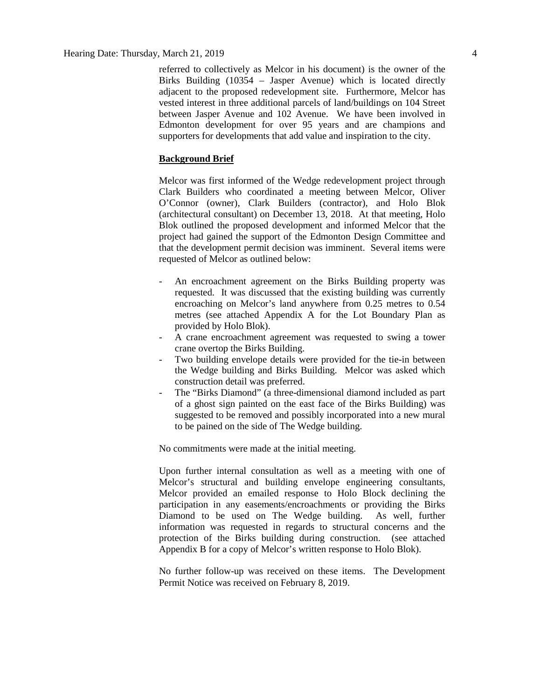referred to collectively as Melcor in his document) is the owner of the Birks Building (10354 – Jasper Avenue) which is located directly adjacent to the proposed redevelopment site. Furthermore, Melcor has vested interest in three additional parcels of land/buildings on 104 Street between Jasper Avenue and 102 Avenue. We have been involved in Edmonton development for over 95 years and are champions and supporters for developments that add value and inspiration to the city.

#### **Background Brief**

Melcor was first informed of the Wedge redevelopment project through Clark Builders who coordinated a meeting between Melcor, Oliver O'Connor (owner), Clark Builders (contractor), and Holo Blok (architectural consultant) on December 13, 2018. At that meeting, Holo Blok outlined the proposed development and informed Melcor that the project had gained the support of the Edmonton Design Committee and that the development permit decision was imminent. Several items were requested of Melcor as outlined below:

- An encroachment agreement on the Birks Building property was requested. It was discussed that the existing building was currently encroaching on Melcor's land anywhere from 0.25 metres to 0.54 metres (see attached Appendix A for the Lot Boundary Plan as provided by Holo Blok).
- A crane encroachment agreement was requested to swing a tower crane overtop the Birks Building.
- Two building envelope details were provided for the tie-in between the Wedge building and Birks Building. Melcor was asked which construction detail was preferred.
- The "Birks Diamond" (a three-dimensional diamond included as part of a ghost sign painted on the east face of the Birks Building) was suggested to be removed and possibly incorporated into a new mural to be pained on the side of The Wedge building.

No commitments were made at the initial meeting.

Upon further internal consultation as well as a meeting with one of Melcor's structural and building envelope engineering consultants, Melcor provided an emailed response to Holo Block declining the participation in any easements/encroachments or providing the Birks Diamond to be used on The Wedge building. As well, further information was requested in regards to structural concerns and the protection of the Birks building during construction. (see attached Appendix B for a copy of Melcor's written response to Holo Blok).

No further follow-up was received on these items. The Development Permit Notice was received on February 8, 2019.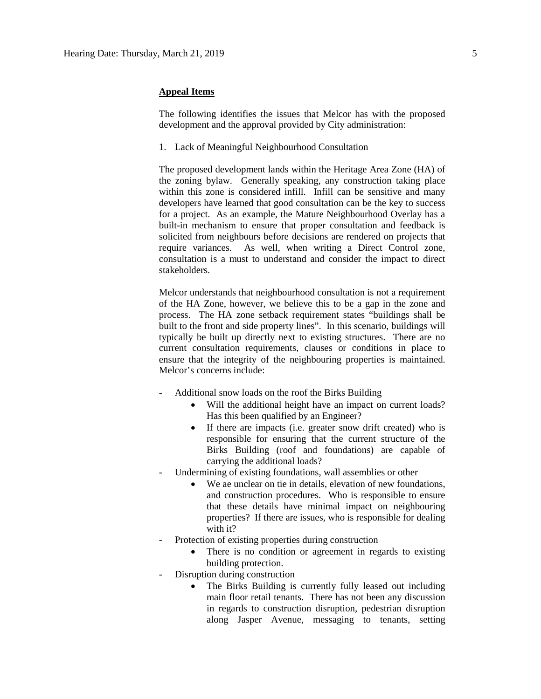#### **Appeal Items**

The following identifies the issues that Melcor has with the proposed development and the approval provided by City administration:

1. Lack of Meaningful Neighbourhood Consultation

The proposed development lands within the Heritage Area Zone (HA) of the zoning bylaw. Generally speaking, any construction taking place within this zone is considered infill. Infill can be sensitive and many developers have learned that good consultation can be the key to success for a project. As an example, the Mature Neighbourhood Overlay has a built-in mechanism to ensure that proper consultation and feedback is solicited from neighbours before decisions are rendered on projects that require variances. As well, when writing a Direct Control zone, consultation is a must to understand and consider the impact to direct stakeholders.

Melcor understands that neighbourhood consultation is not a requirement of the HA Zone, however, we believe this to be a gap in the zone and process. The HA zone setback requirement states "buildings shall be built to the front and side property lines". In this scenario, buildings will typically be built up directly next to existing structures. There are no current consultation requirements, clauses or conditions in place to ensure that the integrity of the neighbouring properties is maintained. Melcor's concerns include:

- Additional snow loads on the roof the Birks Building
	- Will the additional height have an impact on current loads? Has this been qualified by an Engineer?
	- If there are impacts (i.e. greater snow drift created) who is responsible for ensuring that the current structure of the Birks Building (roof and foundations) are capable of carrying the additional loads?
- Undermining of existing foundations, wall assemblies or other
	- We ae unclear on tie in details, elevation of new foundations, and construction procedures. Who is responsible to ensure that these details have minimal impact on neighbouring properties? If there are issues, who is responsible for dealing with it?
- Protection of existing properties during construction
	- There is no condition or agreement in regards to existing building protection.
- Disruption during construction
	- The Birks Building is currently fully leased out including main floor retail tenants. There has not been any discussion in regards to construction disruption, pedestrian disruption along Jasper Avenue, messaging to tenants, setting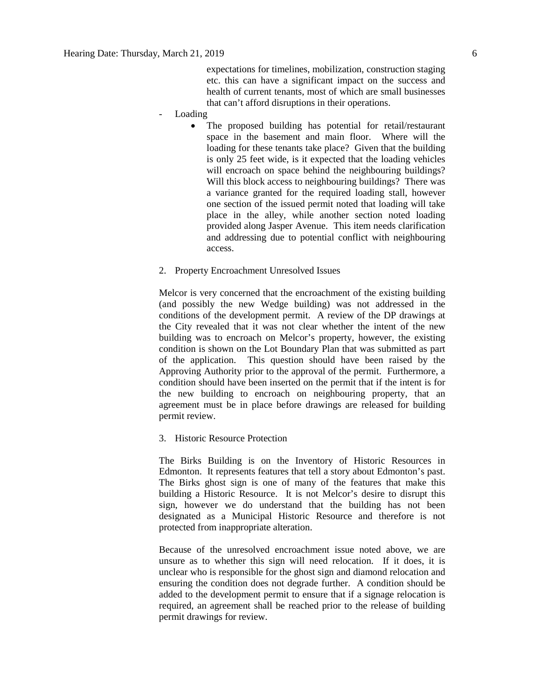expectations for timelines, mobilization, construction staging etc. this can have a significant impact on the success and health of current tenants, most of which are small businesses that can't afford disruptions in their operations.

- Loading
	- The proposed building has potential for retail/restaurant space in the basement and main floor. Where will the loading for these tenants take place? Given that the building is only 25 feet wide, is it expected that the loading vehicles will encroach on space behind the neighbouring buildings? Will this block access to neighbouring buildings? There was a variance granted for the required loading stall, however one section of the issued permit noted that loading will take place in the alley, while another section noted loading provided along Jasper Avenue. This item needs clarification and addressing due to potential conflict with neighbouring access.
- 2. Property Encroachment Unresolved Issues

Melcor is very concerned that the encroachment of the existing building (and possibly the new Wedge building) was not addressed in the conditions of the development permit. A review of the DP drawings at the City revealed that it was not clear whether the intent of the new building was to encroach on Melcor's property, however, the existing condition is shown on the Lot Boundary Plan that was submitted as part of the application. This question should have been raised by the Approving Authority prior to the approval of the permit. Furthermore, a condition should have been inserted on the permit that if the intent is for the new building to encroach on neighbouring property, that an agreement must be in place before drawings are released for building permit review.

3. Historic Resource Protection

The Birks Building is on the Inventory of Historic Resources in Edmonton. It represents features that tell a story about Edmonton's past. The Birks ghost sign is one of many of the features that make this building a Historic Resource. It is not Melcor's desire to disrupt this sign, however we do understand that the building has not been designated as a Municipal Historic Resource and therefore is not protected from inappropriate alteration.

Because of the unresolved encroachment issue noted above, we are unsure as to whether this sign will need relocation. If it does, it is unclear who is responsible for the ghost sign and diamond relocation and ensuring the condition does not degrade further. A condition should be added to the development permit to ensure that if a signage relocation is required, an agreement shall be reached prior to the release of building permit drawings for review.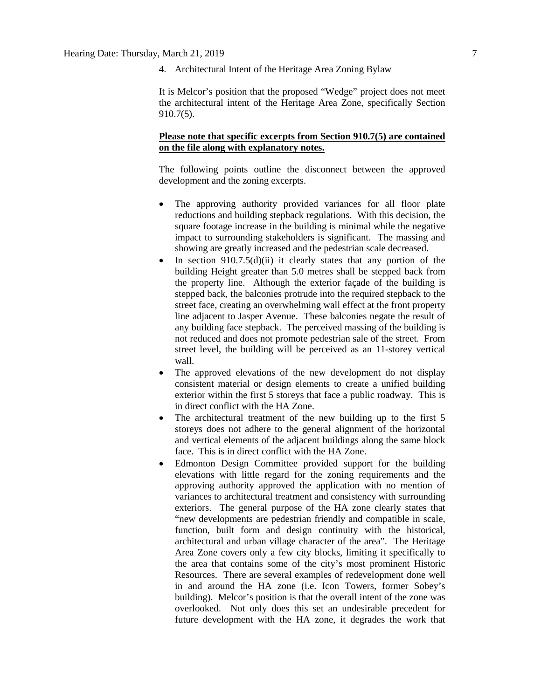4. Architectural Intent of the Heritage Area Zoning Bylaw

It is Melcor's position that the proposed "Wedge" project does not meet the architectural intent of the Heritage Area Zone, specifically Section 910.7(5).

## **Please note that specific excerpts from Section 910.7(5) are contained on the file along with explanatory notes.**

The following points outline the disconnect between the approved development and the zoning excerpts.

- The approving authority provided variances for all floor plate reductions and building stepback regulations. With this decision, the square footage increase in the building is minimal while the negative impact to surrounding stakeholders is significant. The massing and showing are greatly increased and the pedestrian scale decreased.
- In section  $910.7.5(d)(ii)$  it clearly states that any portion of the building Height greater than 5.0 metres shall be stepped back from the property line. Although the exterior façade of the building is stepped back, the balconies protrude into the required stepback to the street face, creating an overwhelming wall effect at the front property line adjacent to Jasper Avenue. These balconies negate the result of any building face stepback. The perceived massing of the building is not reduced and does not promote pedestrian sale of the street. From street level, the building will be perceived as an 11-storey vertical wall.
- The approved elevations of the new development do not display consistent material or design elements to create a unified building exterior within the first 5 storeys that face a public roadway. This is in direct conflict with the HA Zone.
- The architectural treatment of the new building up to the first 5 storeys does not adhere to the general alignment of the horizontal and vertical elements of the adjacent buildings along the same block face. This is in direct conflict with the HA Zone.
- Edmonton Design Committee provided support for the building elevations with little regard for the zoning requirements and the approving authority approved the application with no mention of variances to architectural treatment and consistency with surrounding exteriors. The general purpose of the HA zone clearly states that "new developments are pedestrian friendly and compatible in scale, function, built form and design continuity with the historical, architectural and urban village character of the area". The Heritage Area Zone covers only a few city blocks, limiting it specifically to the area that contains some of the city's most prominent Historic Resources. There are several examples of redevelopment done well in and around the HA zone (i.e. Icon Towers, former Sobey's building). Melcor's position is that the overall intent of the zone was overlooked. Not only does this set an undesirable precedent for future development with the HA zone, it degrades the work that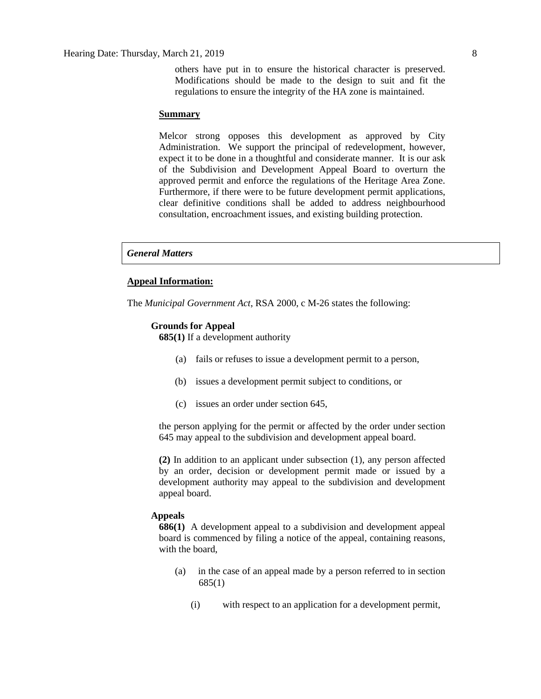#### **Summary**

Melcor strong opposes this development as approved by City Administration. We support the principal of redevelopment, however, expect it to be done in a thoughtful and considerate manner. It is our ask of the Subdivision and Development Appeal Board to overturn the approved permit and enforce the regulations of the Heritage Area Zone. Furthermore, if there were to be future development permit applications, clear definitive conditions shall be added to address neighbourhood consultation, encroachment issues, and existing building protection.

#### *General Matters*

#### **Appeal Information:**

The *Municipal Government Act*, RSA 2000, c M-26 states the following:

#### **Grounds for Appeal**

**685(1)** If a development authority

- (a) fails or refuses to issue a development permit to a person,
- (b) issues a development permit subject to conditions, or
- (c) issues an order under section 645,

the person applying for the permit or affected by the order under section 645 may appeal to the subdivision and development appeal board.

**(2)** In addition to an applicant under subsection (1), any person affected by an order, decision or development permit made or issued by a development authority may appeal to the subdivision and development appeal board.

#### **Appeals**

**686(1)** A development appeal to a subdivision and development appeal board is commenced by filing a notice of the appeal, containing reasons, with the board,

- (a) in the case of an appeal made by a person referred to in section 685(1)
	- (i) with respect to an application for a development permit,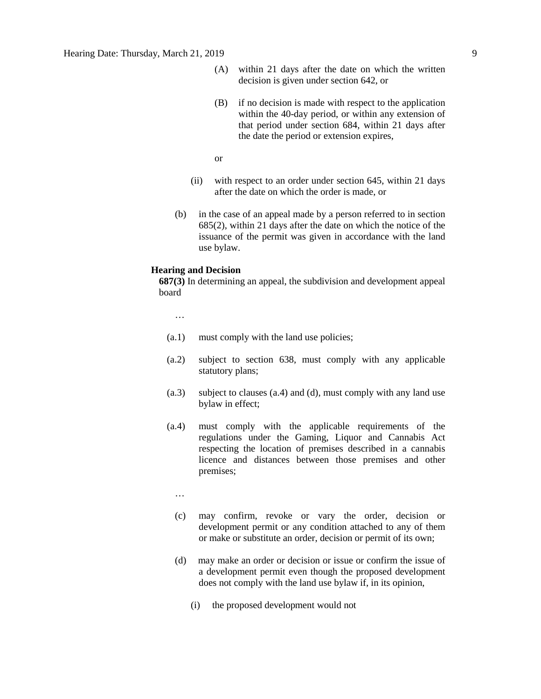- (A) within 21 days after the date on which the written decision is given under section 642, or
- (B) if no decision is made with respect to the application within the 40-day period, or within any extension of that period under section 684, within 21 days after the date the period or extension expires,

or

- (ii) with respect to an order under section 645, within 21 days after the date on which the order is made, or
- (b) in the case of an appeal made by a person referred to in section 685(2), within 21 days after the date on which the notice of the issuance of the permit was given in accordance with the land use bylaw.

#### **Hearing and Decision**

**687(3)** In determining an appeal, the subdivision and development appeal board

…

- (a.1) must comply with the land use policies;
- (a.2) subject to section 638, must comply with any applicable statutory plans;
- (a.3) subject to clauses (a.4) and (d), must comply with any land use bylaw in effect;
- (a.4) must comply with the applicable requirements of the regulations under the Gaming, Liquor and Cannabis Act respecting the location of premises described in a cannabis licence and distances between those premises and other premises;
	- …
	- (c) may confirm, revoke or vary the order, decision or development permit or any condition attached to any of them or make or substitute an order, decision or permit of its own;
	- (d) may make an order or decision or issue or confirm the issue of a development permit even though the proposed development does not comply with the land use bylaw if, in its opinion,
		- (i) the proposed development would not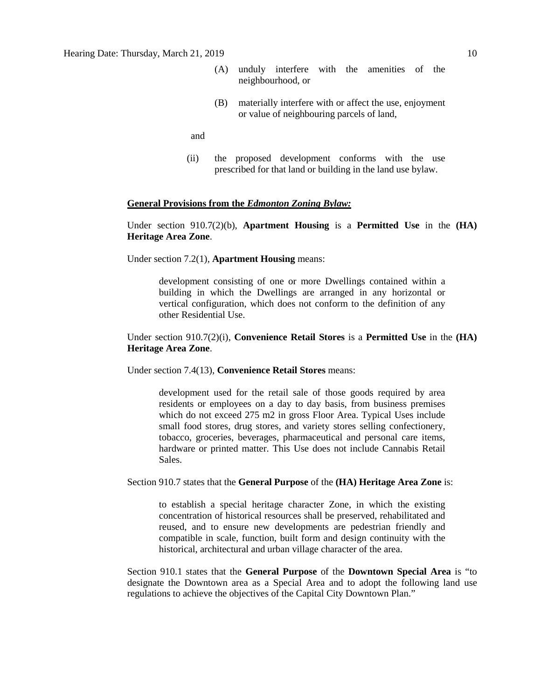- (A) unduly interfere with the amenities of the neighbourhood, or
- (B) materially interfere with or affect the use, enjoyment or value of neighbouring parcels of land,

and

(ii) the proposed development conforms with the use prescribed for that land or building in the land use bylaw.

#### **General Provisions from the** *Edmonton Zoning Bylaw:*

Under section 910.7(2)(b), **Apartment Housing** is a **Permitted Use** in the **(HA) Heritage Area Zone**.

Under section 7.2(1), **Apartment Housing** means:

development consisting of one or more Dwellings contained within a building in which the Dwellings are arranged in any horizontal or vertical configuration, which does not conform to the definition of any other Residential Use.

### Under section 910.7(2)(i), **Convenience Retail Stores** is a **Permitted Use** in the **(HA) Heritage Area Zone**.

Under section 7.4(13), **Convenience Retail Stores** means:

development used for the retail sale of those goods required by area residents or employees on a day to day basis, from business premises which do not exceed 275 m2 in gross Floor Area. Typical Uses include small food stores, drug stores, and variety stores selling confectionery, tobacco, groceries, beverages, pharmaceutical and personal care items, hardware or printed matter. This Use does not include Cannabis Retail Sales.

Section 910.7 states that the **General Purpose** of the **(HA) Heritage Area Zone** is:

to establish a special heritage character Zone, in which the existing concentration of historical resources shall be preserved, rehabilitated and reused, and to ensure new developments are pedestrian friendly and compatible in scale, function, built form and design continuity with the historical, architectural and urban village character of the area.

Section 910.1 states that the **General Purpose** of the **Downtown Special Area** is "to designate the Downtown area as a Special Area and to adopt the following land use regulations to achieve the objectives of the Capital City Downtown Plan."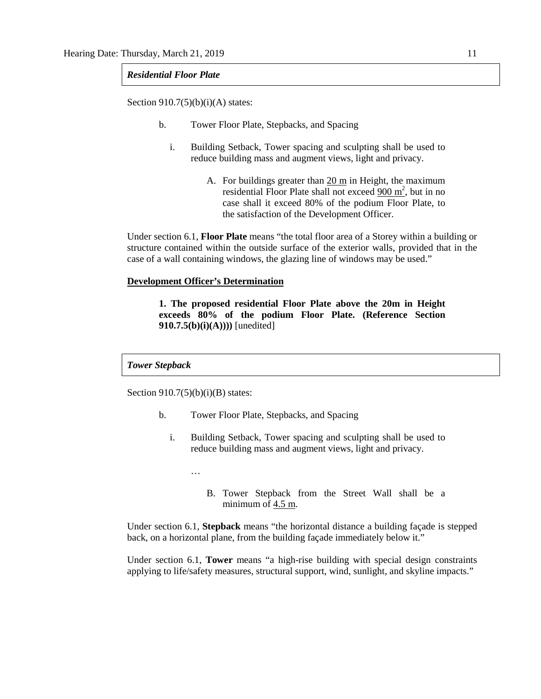#### *Residential Floor Plate*

Section  $910.7(5)(b)(i)(A)$  states:

- b. Tower Floor Plate, Stepbacks, and Spacing
	- i. Building Setback, Tower spacing and sculpting shall be used to reduce building mass and augment views, light and privacy.
		- A. For buildings greater than 20 m in Height, the maximum residential Floor Plate shall not exceed  $\frac{900 \text{ m}^2}{200 \text{ m}^2}$ , but in no case shall it exceed 80% of the podium Floor Plate, to the satisfaction of the Development Officer.

Under section 6.1, **Floor Plate** means "the total floor area of a Storey within a building or structure contained within the outside surface of the exterior walls, provided that in the case of a wall containing windows, the glazing line of windows may be used."

### **Development Officer's Determination**

**1. The proposed residential Floor Plate above the 20m in Height exceeds 80% of the podium Floor Plate. (Reference Section 910.7.5(b)(i)(A))))** [unedited]

*Tower Stepback*

Section  $910.7(5)(b)(i)(B)$  states:

- b. Tower Floor Plate, Stepbacks, and Spacing
	- i. Building Setback, Tower spacing and sculpting shall be used to reduce building mass and augment views, light and privacy.
		- …
			- B. Tower Stepback from the Street Wall shall be a minimum of  $4.5$  m.

Under section 6.1, **Stepback** means "the horizontal distance a building façade is stepped back, on a horizontal plane, from the building façade immediately below it."

Under section 6.1, **Tower** means "a high-rise building with special design constraints applying to life/safety measures, structural support, wind, sunlight, and skyline impacts."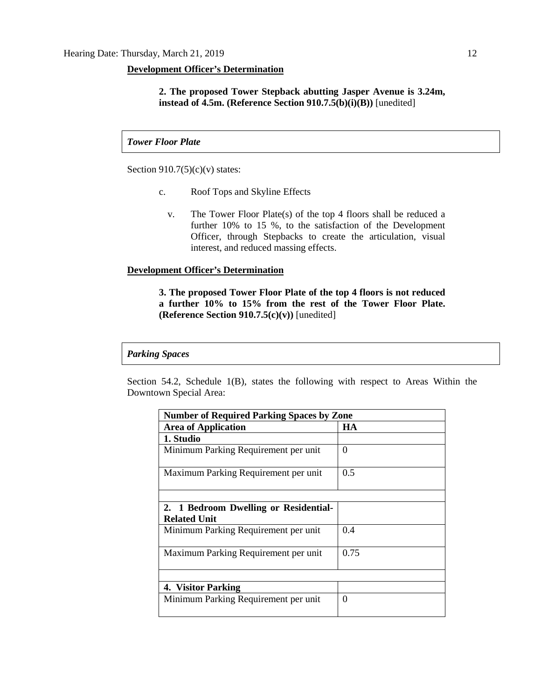#### **Development Officer's Determination**

**2. The proposed Tower Stepback abutting Jasper Avenue is 3.24m, instead of 4.5m. (Reference Section 910.7.5(b)(i)(B))** [unedited]

*Tower Floor Plate*

Section  $910.7(5)(c)(v)$  states:

- c. Roof Tops and Skyline Effects
	- v. The Tower Floor Plate(s) of the top 4 floors shall be reduced a further 10% to 15 %, to the satisfaction of the Development Officer, through Stepbacks to create the articulation, visual interest, and reduced massing effects.

#### **Development Officer's Determination**

**3. The proposed Tower Floor Plate of the top 4 floors is not reduced a further 10% to 15% from the rest of the Tower Floor Plate. (Reference Section 910.7.5(c)(v))** [unedited]

#### *Parking Spaces*

Section 54.2, Schedule 1(B), states the following with respect to Areas Within the Downtown Special Area:

| <b>Number of Required Parking Spaces by Zone</b>             |          |  |  |  |  |
|--------------------------------------------------------------|----------|--|--|--|--|
| <b>Area of Application</b>                                   | HA       |  |  |  |  |
| 1. Studio                                                    |          |  |  |  |  |
| Minimum Parking Requirement per unit                         | $\Omega$ |  |  |  |  |
| Maximum Parking Requirement per unit                         | 0.5      |  |  |  |  |
|                                                              |          |  |  |  |  |
| 2. 1 Bedroom Dwelling or Residential-<br><b>Related Unit</b> |          |  |  |  |  |
| Minimum Parking Requirement per unit                         | 0.4      |  |  |  |  |
| Maximum Parking Requirement per unit                         | 0.75     |  |  |  |  |
|                                                              |          |  |  |  |  |
| 4. Visitor Parking                                           |          |  |  |  |  |
| Minimum Parking Requirement per unit                         | $\Omega$ |  |  |  |  |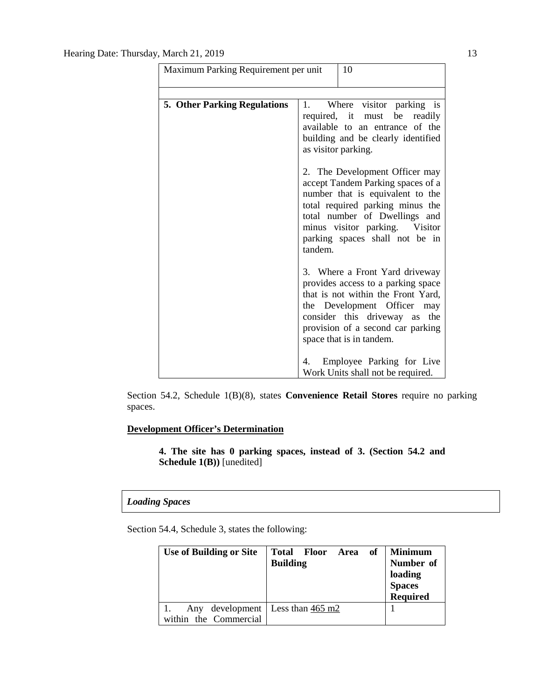| Maximum Parking Requirement per unit |                     | 10                                                                                                                                                                                                                                                |
|--------------------------------------|---------------------|---------------------------------------------------------------------------------------------------------------------------------------------------------------------------------------------------------------------------------------------------|
| <b>5. Other Parking Regulations</b>  | 1.                  | Where visitor parking is<br>required, it must be<br>readily                                                                                                                                                                                       |
|                                      | as visitor parking. | available to an entrance of the<br>building and be clearly identified                                                                                                                                                                             |
|                                      | tandem.             | 2. The Development Officer may<br>accept Tandem Parking spaces of a<br>number that is equivalent to the<br>total required parking minus the<br>total number of Dwellings and<br>minus visitor parking. Visitor<br>parking spaces shall not be in  |
|                                      |                     | 3. Where a Front Yard driveway<br>provides access to a parking space<br>that is not within the Front Yard,<br>the Development Officer<br>may<br>consider this driveway as<br>the<br>provision of a second car parking<br>space that is in tandem. |
|                                      |                     | 4. Employee Parking for Live<br>Work Units shall not be required.                                                                                                                                                                                 |

Section 54.2, Schedule 1(B)(8), states **Convenience Retail Stores** require no parking spaces.

## **Development Officer's Determination**

**4. The site has 0 parking spaces, instead of 3. (Section 54.2 and Schedule 1(B))** [unedited]

### *Loading Spaces*

Section 54.4, Schedule 3, states the following:

| <b>Use of Building or Site</b> | Total Floor Area of<br><b>Building</b>   | <b>Minimum</b><br>Number of<br>loading<br><b>Spaces</b><br>Required |
|--------------------------------|------------------------------------------|---------------------------------------------------------------------|
| Any<br>within the Commercial   | development   Less than $465 \text{ m}2$ |                                                                     |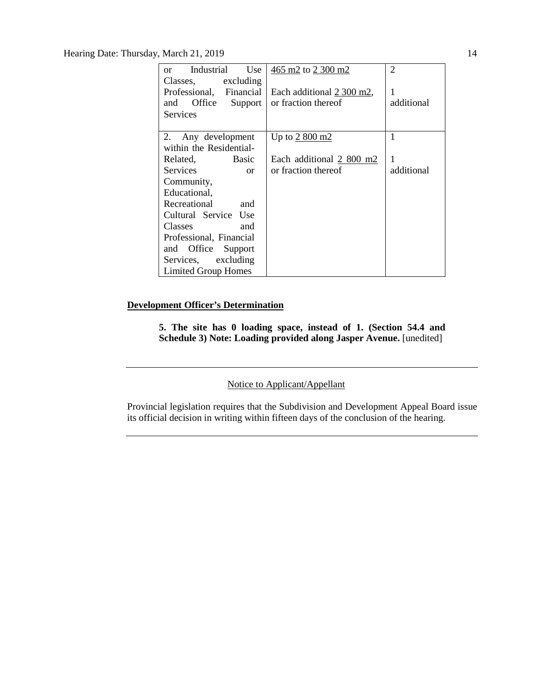Hearing Date: Thursday, March 21, 2019 14

| Industrial<br>Use<br><sub>or</sub> | 465 m2 to 2 300 m2        | 2          |  |  |
|------------------------------------|---------------------------|------------|--|--|
| Classes, excluding                 |                           |            |  |  |
| Professional, Financial            | Each additional 2 300 m2, | 1          |  |  |
| Office<br>Support<br>and           | or fraction thereof       | additional |  |  |
| <b>Services</b>                    |                           |            |  |  |
|                                    |                           |            |  |  |
| Any development<br>2.              | Up to $2800 \text{ m2}$   | 1          |  |  |
| within the Residential-            |                           |            |  |  |
| Basic<br>Related,                  | Each additional 2 800 m2  | 1          |  |  |
| <b>Services</b><br>or              | or fraction thereof       | additional |  |  |
| Community,                         |                           |            |  |  |
| Educational,                       |                           |            |  |  |
| Recreational<br>and                |                           |            |  |  |
| Cultural Service Use               |                           |            |  |  |
| Classes<br>and                     |                           |            |  |  |
| Professional, Financial            |                           |            |  |  |
| and Office Support                 |                           |            |  |  |
| Services, excluding                |                           |            |  |  |
| <b>Limited Group Homes</b>         |                           |            |  |  |

### **Development Officer's Determination**

**5. The site has 0 loading space, instead of 1. (Section 54.4 and Schedule 3) Note: Loading provided along Jasper Avenue.** [unedited]

Notice to Applicant/Appellant

Provincial legislation requires that the Subdivision and Development Appeal Board issue its official decision in writing within fifteen days of the conclusion of the hearing.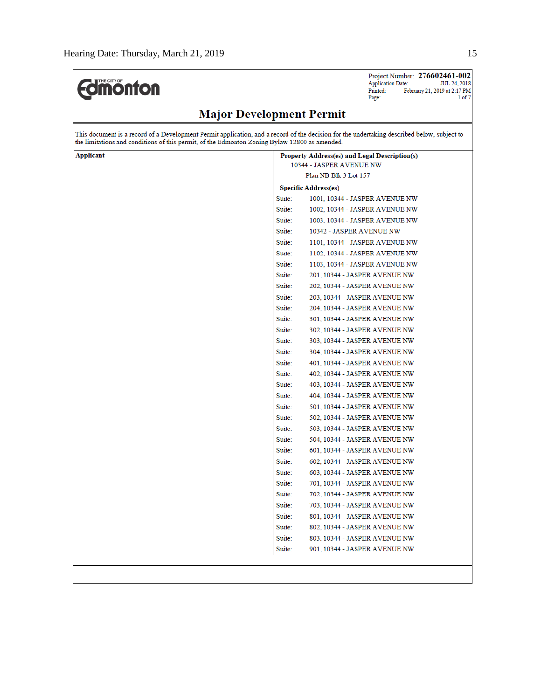$\overline{r}$ 

| <b>dimonton</b>                                                                                                                                                                                                                              | Project Number: 276602461-002<br><b>Application Date:</b><br><b>JUL 24, 2018</b><br>Printed:<br>February 21, 2019 at 2:17 PM<br>Page:<br>1 of 7 |
|----------------------------------------------------------------------------------------------------------------------------------------------------------------------------------------------------------------------------------------------|-------------------------------------------------------------------------------------------------------------------------------------------------|
| <b>Major Development Permit</b>                                                                                                                                                                                                              |                                                                                                                                                 |
| This document is a record of a Development Permit application, and a record of the decision for the undertaking described below, subject to<br>the limitations and conditions of this permit, of the Edmonton Zoning Bylaw 12800 as amended. |                                                                                                                                                 |
| Applicant                                                                                                                                                                                                                                    | Property Address(es) and Legal Description(s)                                                                                                   |
|                                                                                                                                                                                                                                              | 10344 - JASPER AVENUE NW                                                                                                                        |
|                                                                                                                                                                                                                                              | Plan NB Blk 3 Lot 157                                                                                                                           |
|                                                                                                                                                                                                                                              | <b>Specific Address(es)</b>                                                                                                                     |
|                                                                                                                                                                                                                                              | Suite:<br>1001, 10344 - JASPER AVENUE NW<br>Suite:                                                                                              |
|                                                                                                                                                                                                                                              | 1002, 10344 - JASPER AVENUE NW<br>Suite:                                                                                                        |
|                                                                                                                                                                                                                                              | 1003, 10344 - JASPER AVENUE NW<br>Suite:<br>10342 - JASPER AVENUE NW                                                                            |
|                                                                                                                                                                                                                                              | Suite:<br>1101, 10344 - JASPER AVENUE NW                                                                                                        |
|                                                                                                                                                                                                                                              | Suite:<br>1102, 10344 - JASPER AVENUE NW                                                                                                        |
|                                                                                                                                                                                                                                              | Suite:<br>1103, 10344 - JASPER AVENUE NW                                                                                                        |
|                                                                                                                                                                                                                                              | Suite:<br>201, 10344 - JASPER AVENUE NW                                                                                                         |
|                                                                                                                                                                                                                                              | Suite:<br>202, 10344 - JASPER AVENUE NW                                                                                                         |
|                                                                                                                                                                                                                                              | Suite:<br>203, 10344 - JASPER AVENUE NW                                                                                                         |
|                                                                                                                                                                                                                                              | Suite:<br>204, 10344 - JASPER AVENUE NW                                                                                                         |
|                                                                                                                                                                                                                                              | Suite:<br>301, 10344 - JASPER AVENUE NW                                                                                                         |
|                                                                                                                                                                                                                                              | Suite:<br>302, 10344 - JASPER AVENUE NW                                                                                                         |
|                                                                                                                                                                                                                                              | Suite:<br>303, 10344 - JASPER AVENUE NW                                                                                                         |
|                                                                                                                                                                                                                                              | Suite:<br>304, 10344 - JASPER AVENUE NW                                                                                                         |
|                                                                                                                                                                                                                                              | Suite:<br>401, 10344 - JASPER AVENUE NW                                                                                                         |
|                                                                                                                                                                                                                                              | Suite:<br>402, 10344 - JASPER AVENUE NW                                                                                                         |
|                                                                                                                                                                                                                                              | Suite:<br>403, 10344 - JASPER AVENUE NW                                                                                                         |
|                                                                                                                                                                                                                                              | Suite:<br>404, 10344 - JASPER AVENUE NW                                                                                                         |
|                                                                                                                                                                                                                                              | Suite:<br>501, 10344 - JASPER AVENUE NW                                                                                                         |
|                                                                                                                                                                                                                                              | Suite:<br>502, 10344 - JASPER AVENUE NW                                                                                                         |
|                                                                                                                                                                                                                                              | Suite:<br>503, 10344 - JASPER AVENUE NW                                                                                                         |
|                                                                                                                                                                                                                                              | Suite:<br>504, 10344 - JASPER AVENUE NW                                                                                                         |
|                                                                                                                                                                                                                                              | 601, 10344 - JASPER AVENUE NW<br>Suite:                                                                                                         |
|                                                                                                                                                                                                                                              | Suite:<br>602, 10344 - JASPER AVENUE NW                                                                                                         |
|                                                                                                                                                                                                                                              | 603, 10344 - JASPER AVENUE NW<br>Suite:                                                                                                         |
|                                                                                                                                                                                                                                              | Suite:<br>701, 10344 - JASPER AVENUE NW                                                                                                         |
|                                                                                                                                                                                                                                              | Suite:<br>702, 10344 - JASPER AVENUE NW                                                                                                         |
|                                                                                                                                                                                                                                              | Suite:<br>703, 10344 - JASPER AVENUE NW                                                                                                         |
|                                                                                                                                                                                                                                              | Suite:<br>801, 10344 - JASPER AVENUE NW                                                                                                         |
|                                                                                                                                                                                                                                              | Suite:<br>802, 10344 - JASPER AVENUE NW                                                                                                         |
|                                                                                                                                                                                                                                              | Suite:<br>803, 10344 - JASPER AVENUE NW                                                                                                         |
|                                                                                                                                                                                                                                              | Suite:<br>901, 10344 - JASPER AVENUE NW                                                                                                         |
|                                                                                                                                                                                                                                              |                                                                                                                                                 |
|                                                                                                                                                                                                                                              |                                                                                                                                                 |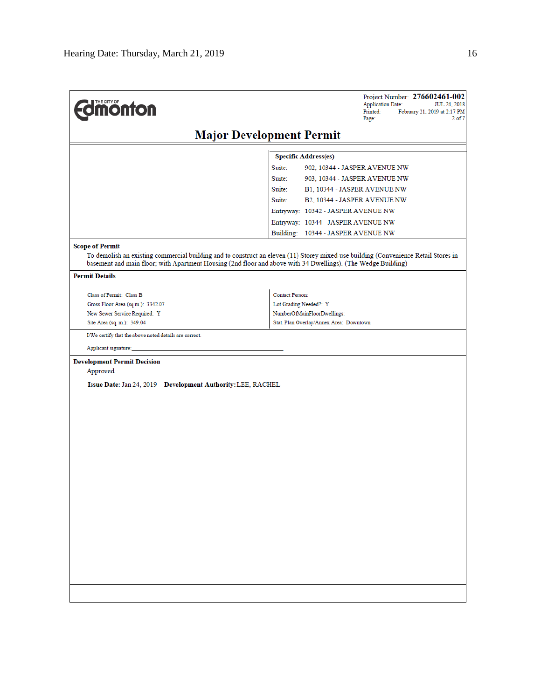| <b>dimonton</b>                                                                                                                                                  | Project Number: 276602461-002<br><b>Application Date:</b><br>JUL 24, 2018<br>Printed:<br>February 21, 2019 at 2:17 PM<br>Page:<br>$2$ of $7$ |
|------------------------------------------------------------------------------------------------------------------------------------------------------------------|----------------------------------------------------------------------------------------------------------------------------------------------|
|                                                                                                                                                                  | <b>Major Development Permit</b>                                                                                                              |
|                                                                                                                                                                  | <b>Specific Address(es)</b>                                                                                                                  |
|                                                                                                                                                                  | Suite:<br>902, 10344 - JASPER AVENUE NW                                                                                                      |
|                                                                                                                                                                  | Suite:<br>903, 10344 - JASPER AVENUE NW                                                                                                      |
|                                                                                                                                                                  | Suite:<br>B1, 10344 - JASPER AVENUE NW                                                                                                       |
|                                                                                                                                                                  | Suite:<br>B2, 10344 - JASPER AVENUE NW                                                                                                       |
|                                                                                                                                                                  | Entryway: 10342 - JASPER AVENUE NW                                                                                                           |
|                                                                                                                                                                  | Entryway: 10344 - JASPER AVENUE NW                                                                                                           |
|                                                                                                                                                                  | Building: 10344 - JASPER AVENUE NW                                                                                                           |
| <b>Scope of Permit</b><br>basement and main floor; with Apartment Housing (2nd floor and above with 34 Dwellings). (The Wedge Building)<br><b>Permit Details</b> | To demolish an existing commercial building and to construct an eleven (11) Storey mixed-use building (Convenience Retail Stores in          |
| Class of Permit: Class B                                                                                                                                         | <b>Contact Person:</b>                                                                                                                       |
| Gross Floor Area (sq.m.): 3342.07                                                                                                                                | Lot Grading Needed?: Y                                                                                                                       |
| New Sewer Service Required: Y                                                                                                                                    | NumberOfMainFloorDwellings:                                                                                                                  |
| Site Area (sq. m.): 349.04                                                                                                                                       | Stat. Plan Overlay/Annex Area: Downtown                                                                                                      |
| I/We certify that the above noted details are correct.                                                                                                           |                                                                                                                                              |
| Applicant signature:                                                                                                                                             |                                                                                                                                              |
| <b>Development Permit Decision</b>                                                                                                                               |                                                                                                                                              |
| Approved                                                                                                                                                         |                                                                                                                                              |
| Issue Date: Jan 24, 2019 Development Authority: LEE, RACHEL                                                                                                      |                                                                                                                                              |
|                                                                                                                                                                  |                                                                                                                                              |
|                                                                                                                                                                  |                                                                                                                                              |
|                                                                                                                                                                  |                                                                                                                                              |
|                                                                                                                                                                  |                                                                                                                                              |
|                                                                                                                                                                  |                                                                                                                                              |
|                                                                                                                                                                  |                                                                                                                                              |
|                                                                                                                                                                  |                                                                                                                                              |
|                                                                                                                                                                  |                                                                                                                                              |
|                                                                                                                                                                  |                                                                                                                                              |
|                                                                                                                                                                  |                                                                                                                                              |
|                                                                                                                                                                  |                                                                                                                                              |
|                                                                                                                                                                  |                                                                                                                                              |
|                                                                                                                                                                  |                                                                                                                                              |
|                                                                                                                                                                  |                                                                                                                                              |
|                                                                                                                                                                  |                                                                                                                                              |
|                                                                                                                                                                  |                                                                                                                                              |
|                                                                                                                                                                  |                                                                                                                                              |
|                                                                                                                                                                  |                                                                                                                                              |
|                                                                                                                                                                  |                                                                                                                                              |
|                                                                                                                                                                  |                                                                                                                                              |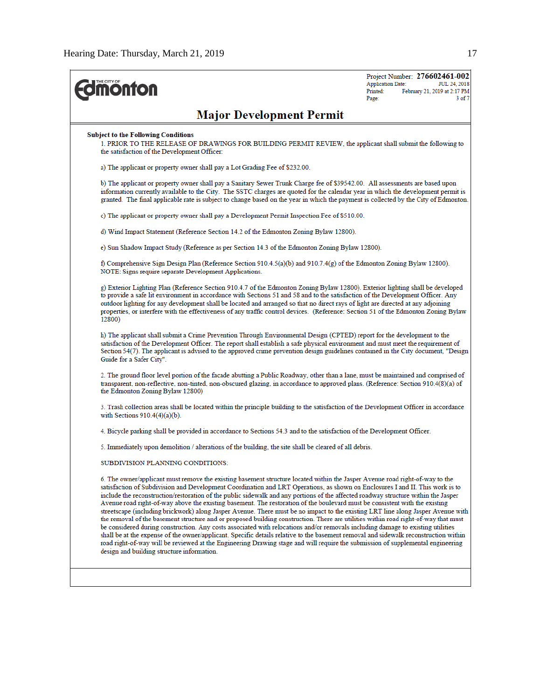| <b>onton</b>                                                                                                                                                                                                                                                                                                                                                                                                                                                                                                                                                                                                                                                                                                                                                                                                                                                                                                                                                                                                                                                                                                                                                                                                                                                              | <b>Application Date:</b><br>Printed:<br>Page: | Project Number: 276602461-002<br>JUL 24, 2018<br>February 21, 2019 at 2:17 PM<br>$3$ of $7$ |
|---------------------------------------------------------------------------------------------------------------------------------------------------------------------------------------------------------------------------------------------------------------------------------------------------------------------------------------------------------------------------------------------------------------------------------------------------------------------------------------------------------------------------------------------------------------------------------------------------------------------------------------------------------------------------------------------------------------------------------------------------------------------------------------------------------------------------------------------------------------------------------------------------------------------------------------------------------------------------------------------------------------------------------------------------------------------------------------------------------------------------------------------------------------------------------------------------------------------------------------------------------------------------|-----------------------------------------------|---------------------------------------------------------------------------------------------|
| <b>Major Development Permit</b>                                                                                                                                                                                                                                                                                                                                                                                                                                                                                                                                                                                                                                                                                                                                                                                                                                                                                                                                                                                                                                                                                                                                                                                                                                           |                                               |                                                                                             |
| <b>Subject to the Following Conditions</b><br>1. PRIOR TO THE RELEASE OF DRAWINGS FOR BUILDING PERMIT REVIEW, the applicant shall submit the following to<br>the satisfaction of the Development Officer:                                                                                                                                                                                                                                                                                                                                                                                                                                                                                                                                                                                                                                                                                                                                                                                                                                                                                                                                                                                                                                                                 |                                               |                                                                                             |
| a) The applicant or property owner shall pay a Lot Grading Fee of \$232.00.                                                                                                                                                                                                                                                                                                                                                                                                                                                                                                                                                                                                                                                                                                                                                                                                                                                                                                                                                                                                                                                                                                                                                                                               |                                               |                                                                                             |
| b) The applicant or property owner shall pay a Sanitary Sewer Trunk Charge fee of \$39542.00. All assessments are based upon<br>information currently available to the City. The SSTC charges are quoted for the calendar year in which the development permit is<br>granted. The final applicable rate is subject to change based on the year in which the payment is collected by the City of Edmonton.                                                                                                                                                                                                                                                                                                                                                                                                                                                                                                                                                                                                                                                                                                                                                                                                                                                                 |                                               |                                                                                             |
| c) The applicant or property owner shall pay a Development Permit Inspection Fee of \$510.00.                                                                                                                                                                                                                                                                                                                                                                                                                                                                                                                                                                                                                                                                                                                                                                                                                                                                                                                                                                                                                                                                                                                                                                             |                                               |                                                                                             |
| d) Wind Impact Statement (Reference Section 14.2 of the Edmonton Zoning Bylaw 12800).                                                                                                                                                                                                                                                                                                                                                                                                                                                                                                                                                                                                                                                                                                                                                                                                                                                                                                                                                                                                                                                                                                                                                                                     |                                               |                                                                                             |
| e) Sun Shadow Impact Study (Reference as per Section 14.3 of the Edmonton Zoning Bylaw 12800).                                                                                                                                                                                                                                                                                                                                                                                                                                                                                                                                                                                                                                                                                                                                                                                                                                                                                                                                                                                                                                                                                                                                                                            |                                               |                                                                                             |
| f) Comprehensive Sign Design Plan (Reference Section 910.4.5(a)(b) and 910.7.4(g) of the Edmonton Zoning Bylaw 12800).<br>NOTE: Signs require separate Development Applications.                                                                                                                                                                                                                                                                                                                                                                                                                                                                                                                                                                                                                                                                                                                                                                                                                                                                                                                                                                                                                                                                                          |                                               |                                                                                             |
| g) Exterior Lighting Plan (Reference Section 910.4.7 of the Edmonton Zoning Bylaw 12800). Exterior lighting shall be developed<br>to provide a safe lit environment in accordance with Sections 51 and 58 and to the satisfaction of the Development Officer. Any<br>outdoor lighting for any development shall be located and arranged so that no direct rays of light are directed at any adjoining<br>properties, or interfere with the effectiveness of any traffic control devices. (Reference: Section 51 of the Edmonton Zoning Bylaw<br>12800)                                                                                                                                                                                                                                                                                                                                                                                                                                                                                                                                                                                                                                                                                                                    |                                               |                                                                                             |
| h) The applicant shall submit a Crime Prevention Through Environmental Design (CPTED) report for the development to the<br>satisfaction of the Development Officer. The report shall establish a safe physical environment and must meet the requirement of<br>Section 54(7). The applicant is advised to the approved crime prevention design guidelines contained in the City document, "Design<br>Guide for a Safer City".                                                                                                                                                                                                                                                                                                                                                                                                                                                                                                                                                                                                                                                                                                                                                                                                                                             |                                               |                                                                                             |
| 2. The ground floor level portion of the facade abutting a Public Roadway, other than a lane, must be maintained and comprised of<br>transparent, non-reflective, non-tinted, non-obscured glazing, in accordance to approved plans. (Reference: Section 910.4(8)(a) of<br>the Edmonton Zoning Bylaw 12800)                                                                                                                                                                                                                                                                                                                                                                                                                                                                                                                                                                                                                                                                                                                                                                                                                                                                                                                                                               |                                               |                                                                                             |
| 3. Trash collection areas shall be located within the principle building to the satisfaction of the Development Officer in accordance<br>with Sections $910.4(4)(a)(b)$ .                                                                                                                                                                                                                                                                                                                                                                                                                                                                                                                                                                                                                                                                                                                                                                                                                                                                                                                                                                                                                                                                                                 |                                               |                                                                                             |
| 4. Bicycle parking shall be provided in accordance to Sections 54.3 and to the satisfaction of the Development Officer.                                                                                                                                                                                                                                                                                                                                                                                                                                                                                                                                                                                                                                                                                                                                                                                                                                                                                                                                                                                                                                                                                                                                                   |                                               |                                                                                             |
| 5. Immediately upon demolition / alterations of the building, the site shall be cleared of all debris.                                                                                                                                                                                                                                                                                                                                                                                                                                                                                                                                                                                                                                                                                                                                                                                                                                                                                                                                                                                                                                                                                                                                                                    |                                               |                                                                                             |
| SUBDIVISION PLANNING CONDITIONS:                                                                                                                                                                                                                                                                                                                                                                                                                                                                                                                                                                                                                                                                                                                                                                                                                                                                                                                                                                                                                                                                                                                                                                                                                                          |                                               |                                                                                             |
| 6. The owner/applicant must remove the existing basement structure located within the Jasper Avenue road right-of-way to the<br>satisfaction of Subdivision and Development Coordination and LRT Operations, as shown on Enclosures I and II. This work is to<br>include the reconstruction/restoration of the public sidewalk and any portions of the affected roadway structure within the Jasper<br>Avenue road right-of-way above the existing basement. The restoration of the boulevard must be consistent with the existing<br>streetscape (including brickwork) along Jasper Avenue. There must be no impact to the existing LRT line along Jasper Avenue with<br>the removal of the basement structure and or proposed building construction. There are utilities within road right-of-way that must<br>be considered during construction. Any costs associated with relocations and/or removals including damage to existing utilities<br>shall be at the expense of the owner/applicant. Specific details relative to the basement removal and sidewalk reconstruction within<br>road right-of-way will be reviewed at the Engineering Drawing stage and will require the submission of supplemental engineering<br>design and building structure information. |                                               |                                                                                             |
|                                                                                                                                                                                                                                                                                                                                                                                                                                                                                                                                                                                                                                                                                                                                                                                                                                                                                                                                                                                                                                                                                                                                                                                                                                                                           |                                               |                                                                                             |
|                                                                                                                                                                                                                                                                                                                                                                                                                                                                                                                                                                                                                                                                                                                                                                                                                                                                                                                                                                                                                                                                                                                                                                                                                                                                           |                                               |                                                                                             |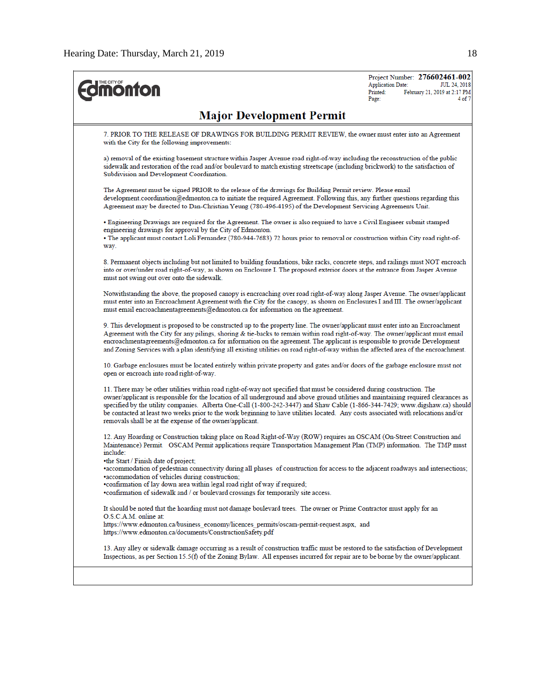| <b>Major Development Permit</b><br>7. PRIOR TO THE RELEASE OF DRAWINGS FOR BUILDING PERMIT REVIEW, the owner must enter into an Agreement<br>with the City for the following improvements:<br>a) removal of the existing basement structure within Jasper Avenue road right-of-way including the reconstruction of the public<br>sidewalk and restoration of the road and/or boulevard to match existing streetscape (including brickwork) to the satisfaction of<br>Subdivision and Development Coordination.<br>The Agreement must be signed PRIOR to the release of the drawings for Building Permit review. Please email<br>development.coordination@edmonton.ca to initiate the required Agreement. Following this, any further questions regarding this<br>Agreement may be directed to Dan-Christian Yeung (780-496-4195) of the Development Servicing Agreements Unit.<br>• Engineering Drawings are required for the Agreement. The owner is also required to have a Civil Engineer submit stamped<br>engineering drawings for approval by the City of Edmonton.<br>• The applicant must contact Loli Fernandez (780-944-7683) 72 hours prior to removal or construction within City road right-of-<br>way.<br>8. Permanent objects including but not limited to building foundations, bike racks, concrete steps, and railings must NOT encroach<br>into or over/under road right-of-way, as shown on Enclosure I. The proposed exterior doors at the entrance from Jasper Avenue<br>must not swing out over onto the sidewalk.<br>Notwithstanding the above, the proposed canopy is encroaching over road right-of-way along Jasper Avenue. The owner/applicant<br>must enter into an Encroachment Agreement with the City for the canopy, as shown on Enclosures I and III. The owner/applicant<br>must email encroachmentagreements@edmonton.ca for information on the agreement.<br>9. This development is proposed to be constructed up to the property line. The owner/applicant must enter into an Encroachment<br>Agreement with the City for any pilings, shoring & tie-backs to remain within road right-of-way. The owner/applicant must email<br>encroachmentagreements@edmonton.ca for information on the agreement. The applicant is responsible to provide Development<br>and Zoning Services with a plan identifying all existing utilities on road right-of-way within the affected area of the encroachment.<br>10. Garbage enclosures must be located entirely within private property and gates and/or doors of the garbage enclosure must not<br>open or encroach into road right-of-way.<br>11. There may be other utilities within road right-of-way not specified that must be considered during construction. The<br>owner/applicant is responsible for the location of all underground and above ground utilities and maintaining required clearances as<br>specified by the utility companies. Alberta One-Call (1-800-242-3447) and Shaw Cable (1-866-344-7429; www.digshaw.ca) should<br>be contacted at least two weeks prior to the work beginning to have utilities located. Any costs associated with relocations and/or<br>removals shall be at the expense of the owner/applicant.<br>12. Any Hoarding or Construction taking place on Road Right-of-Way (ROW) requires an OSCAM (On-Street Construction and<br>Maintenance) Permit. OSCAM Permit applications require Transportation Management Plan (TMP) information. The TMP must<br>include:<br>•the Start / Finish date of project;<br>·accommodation of pedestrian connectivity during all phases of construction for access to the adjacent roadways and intersections;<br>·accommodation of vehicles during construction;<br>.confirmation of lay down area within legal road right of way if required;<br>•confirmation of sidewalk and / or boulevard crossings for temporarily site access.<br>It should be noted that the hoarding must not damage boulevard trees. The owner or Prime Contractor must apply for an<br>O.S.C.A.M. online at:<br>https://www.edmonton.ca/business_economy/licences_permits/oscam-permit-request.aspx, and<br>https://www.edmonton.ca/documents/ConstructionSafety.pdf<br>13. Any alley or sidewalk damage occurring as a result of construction traffic must be restored to the satisfaction of Development<br>Inspections, as per Section 15.5(f) of the Zoning Bylaw. All expenses incurred for repair are to be borne by the owner/applicant. | <b><i><u><b>MONTON</b></u></i></b> | Project Number: 276602461-002<br>JUL 24, 2018<br><b>Application Date:</b><br>February 21, 2019 at 2:17 PM<br>Printed:<br>4 of 7<br>Page: |
|-------------------------------------------------------------------------------------------------------------------------------------------------------------------------------------------------------------------------------------------------------------------------------------------------------------------------------------------------------------------------------------------------------------------------------------------------------------------------------------------------------------------------------------------------------------------------------------------------------------------------------------------------------------------------------------------------------------------------------------------------------------------------------------------------------------------------------------------------------------------------------------------------------------------------------------------------------------------------------------------------------------------------------------------------------------------------------------------------------------------------------------------------------------------------------------------------------------------------------------------------------------------------------------------------------------------------------------------------------------------------------------------------------------------------------------------------------------------------------------------------------------------------------------------------------------------------------------------------------------------------------------------------------------------------------------------------------------------------------------------------------------------------------------------------------------------------------------------------------------------------------------------------------------------------------------------------------------------------------------------------------------------------------------------------------------------------------------------------------------------------------------------------------------------------------------------------------------------------------------------------------------------------------------------------------------------------------------------------------------------------------------------------------------------------------------------------------------------------------------------------------------------------------------------------------------------------------------------------------------------------------------------------------------------------------------------------------------------------------------------------------------------------------------------------------------------------------------------------------------------------------------------------------------------------------------------------------------------------------------------------------------------------------------------------------------------------------------------------------------------------------------------------------------------------------------------------------------------------------------------------------------------------------------------------------------------------------------------------------------------------------------------------------------------------------------------------------------------------------------------------------------------------------------------------------------------------------------------------------------------------------------------------------------------------------------------------------------------------------------------------------------------------------------------------------------------------------------------------------------------------------------------------------------------------------------------------------------------------------------------------------------------------------------------------------------------------------------------------------------------------------------------------------------------------------------------------------------------------------------------------------------------------------------------------------------------------------------------------------------------------------------------------------------------------------------------------------------------------------------------|------------------------------------|------------------------------------------------------------------------------------------------------------------------------------------|
|                                                                                                                                                                                                                                                                                                                                                                                                                                                                                                                                                                                                                                                                                                                                                                                                                                                                                                                                                                                                                                                                                                                                                                                                                                                                                                                                                                                                                                                                                                                                                                                                                                                                                                                                                                                                                                                                                                                                                                                                                                                                                                                                                                                                                                                                                                                                                                                                                                                                                                                                                                                                                                                                                                                                                                                                                                                                                                                                                                                                                                                                                                                                                                                                                                                                                                                                                                                                                                                                                                                                                                                                                                                                                                                                                                                                                                                                                                                                                                                                                                                                                                                                                                                                                                                                                                                                                                                                                                                                                           |                                    |                                                                                                                                          |
|                                                                                                                                                                                                                                                                                                                                                                                                                                                                                                                                                                                                                                                                                                                                                                                                                                                                                                                                                                                                                                                                                                                                                                                                                                                                                                                                                                                                                                                                                                                                                                                                                                                                                                                                                                                                                                                                                                                                                                                                                                                                                                                                                                                                                                                                                                                                                                                                                                                                                                                                                                                                                                                                                                                                                                                                                                                                                                                                                                                                                                                                                                                                                                                                                                                                                                                                                                                                                                                                                                                                                                                                                                                                                                                                                                                                                                                                                                                                                                                                                                                                                                                                                                                                                                                                                                                                                                                                                                                                                           |                                    |                                                                                                                                          |
|                                                                                                                                                                                                                                                                                                                                                                                                                                                                                                                                                                                                                                                                                                                                                                                                                                                                                                                                                                                                                                                                                                                                                                                                                                                                                                                                                                                                                                                                                                                                                                                                                                                                                                                                                                                                                                                                                                                                                                                                                                                                                                                                                                                                                                                                                                                                                                                                                                                                                                                                                                                                                                                                                                                                                                                                                                                                                                                                                                                                                                                                                                                                                                                                                                                                                                                                                                                                                                                                                                                                                                                                                                                                                                                                                                                                                                                                                                                                                                                                                                                                                                                                                                                                                                                                                                                                                                                                                                                                                           |                                    |                                                                                                                                          |
|                                                                                                                                                                                                                                                                                                                                                                                                                                                                                                                                                                                                                                                                                                                                                                                                                                                                                                                                                                                                                                                                                                                                                                                                                                                                                                                                                                                                                                                                                                                                                                                                                                                                                                                                                                                                                                                                                                                                                                                                                                                                                                                                                                                                                                                                                                                                                                                                                                                                                                                                                                                                                                                                                                                                                                                                                                                                                                                                                                                                                                                                                                                                                                                                                                                                                                                                                                                                                                                                                                                                                                                                                                                                                                                                                                                                                                                                                                                                                                                                                                                                                                                                                                                                                                                                                                                                                                                                                                                                                           |                                    |                                                                                                                                          |
|                                                                                                                                                                                                                                                                                                                                                                                                                                                                                                                                                                                                                                                                                                                                                                                                                                                                                                                                                                                                                                                                                                                                                                                                                                                                                                                                                                                                                                                                                                                                                                                                                                                                                                                                                                                                                                                                                                                                                                                                                                                                                                                                                                                                                                                                                                                                                                                                                                                                                                                                                                                                                                                                                                                                                                                                                                                                                                                                                                                                                                                                                                                                                                                                                                                                                                                                                                                                                                                                                                                                                                                                                                                                                                                                                                                                                                                                                                                                                                                                                                                                                                                                                                                                                                                                                                                                                                                                                                                                                           |                                    |                                                                                                                                          |
|                                                                                                                                                                                                                                                                                                                                                                                                                                                                                                                                                                                                                                                                                                                                                                                                                                                                                                                                                                                                                                                                                                                                                                                                                                                                                                                                                                                                                                                                                                                                                                                                                                                                                                                                                                                                                                                                                                                                                                                                                                                                                                                                                                                                                                                                                                                                                                                                                                                                                                                                                                                                                                                                                                                                                                                                                                                                                                                                                                                                                                                                                                                                                                                                                                                                                                                                                                                                                                                                                                                                                                                                                                                                                                                                                                                                                                                                                                                                                                                                                                                                                                                                                                                                                                                                                                                                                                                                                                                                                           |                                    |                                                                                                                                          |
|                                                                                                                                                                                                                                                                                                                                                                                                                                                                                                                                                                                                                                                                                                                                                                                                                                                                                                                                                                                                                                                                                                                                                                                                                                                                                                                                                                                                                                                                                                                                                                                                                                                                                                                                                                                                                                                                                                                                                                                                                                                                                                                                                                                                                                                                                                                                                                                                                                                                                                                                                                                                                                                                                                                                                                                                                                                                                                                                                                                                                                                                                                                                                                                                                                                                                                                                                                                                                                                                                                                                                                                                                                                                                                                                                                                                                                                                                                                                                                                                                                                                                                                                                                                                                                                                                                                                                                                                                                                                                           |                                    |                                                                                                                                          |
|                                                                                                                                                                                                                                                                                                                                                                                                                                                                                                                                                                                                                                                                                                                                                                                                                                                                                                                                                                                                                                                                                                                                                                                                                                                                                                                                                                                                                                                                                                                                                                                                                                                                                                                                                                                                                                                                                                                                                                                                                                                                                                                                                                                                                                                                                                                                                                                                                                                                                                                                                                                                                                                                                                                                                                                                                                                                                                                                                                                                                                                                                                                                                                                                                                                                                                                                                                                                                                                                                                                                                                                                                                                                                                                                                                                                                                                                                                                                                                                                                                                                                                                                                                                                                                                                                                                                                                                                                                                                                           |                                    |                                                                                                                                          |
|                                                                                                                                                                                                                                                                                                                                                                                                                                                                                                                                                                                                                                                                                                                                                                                                                                                                                                                                                                                                                                                                                                                                                                                                                                                                                                                                                                                                                                                                                                                                                                                                                                                                                                                                                                                                                                                                                                                                                                                                                                                                                                                                                                                                                                                                                                                                                                                                                                                                                                                                                                                                                                                                                                                                                                                                                                                                                                                                                                                                                                                                                                                                                                                                                                                                                                                                                                                                                                                                                                                                                                                                                                                                                                                                                                                                                                                                                                                                                                                                                                                                                                                                                                                                                                                                                                                                                                                                                                                                                           |                                    |                                                                                                                                          |
|                                                                                                                                                                                                                                                                                                                                                                                                                                                                                                                                                                                                                                                                                                                                                                                                                                                                                                                                                                                                                                                                                                                                                                                                                                                                                                                                                                                                                                                                                                                                                                                                                                                                                                                                                                                                                                                                                                                                                                                                                                                                                                                                                                                                                                                                                                                                                                                                                                                                                                                                                                                                                                                                                                                                                                                                                                                                                                                                                                                                                                                                                                                                                                                                                                                                                                                                                                                                                                                                                                                                                                                                                                                                                                                                                                                                                                                                                                                                                                                                                                                                                                                                                                                                                                                                                                                                                                                                                                                                                           |                                    |                                                                                                                                          |
|                                                                                                                                                                                                                                                                                                                                                                                                                                                                                                                                                                                                                                                                                                                                                                                                                                                                                                                                                                                                                                                                                                                                                                                                                                                                                                                                                                                                                                                                                                                                                                                                                                                                                                                                                                                                                                                                                                                                                                                                                                                                                                                                                                                                                                                                                                                                                                                                                                                                                                                                                                                                                                                                                                                                                                                                                                                                                                                                                                                                                                                                                                                                                                                                                                                                                                                                                                                                                                                                                                                                                                                                                                                                                                                                                                                                                                                                                                                                                                                                                                                                                                                                                                                                                                                                                                                                                                                                                                                                                           |                                    |                                                                                                                                          |
|                                                                                                                                                                                                                                                                                                                                                                                                                                                                                                                                                                                                                                                                                                                                                                                                                                                                                                                                                                                                                                                                                                                                                                                                                                                                                                                                                                                                                                                                                                                                                                                                                                                                                                                                                                                                                                                                                                                                                                                                                                                                                                                                                                                                                                                                                                                                                                                                                                                                                                                                                                                                                                                                                                                                                                                                                                                                                                                                                                                                                                                                                                                                                                                                                                                                                                                                                                                                                                                                                                                                                                                                                                                                                                                                                                                                                                                                                                                                                                                                                                                                                                                                                                                                                                                                                                                                                                                                                                                                                           |                                    |                                                                                                                                          |
|                                                                                                                                                                                                                                                                                                                                                                                                                                                                                                                                                                                                                                                                                                                                                                                                                                                                                                                                                                                                                                                                                                                                                                                                                                                                                                                                                                                                                                                                                                                                                                                                                                                                                                                                                                                                                                                                                                                                                                                                                                                                                                                                                                                                                                                                                                                                                                                                                                                                                                                                                                                                                                                                                                                                                                                                                                                                                                                                                                                                                                                                                                                                                                                                                                                                                                                                                                                                                                                                                                                                                                                                                                                                                                                                                                                                                                                                                                                                                                                                                                                                                                                                                                                                                                                                                                                                                                                                                                                                                           |                                    |                                                                                                                                          |
|                                                                                                                                                                                                                                                                                                                                                                                                                                                                                                                                                                                                                                                                                                                                                                                                                                                                                                                                                                                                                                                                                                                                                                                                                                                                                                                                                                                                                                                                                                                                                                                                                                                                                                                                                                                                                                                                                                                                                                                                                                                                                                                                                                                                                                                                                                                                                                                                                                                                                                                                                                                                                                                                                                                                                                                                                                                                                                                                                                                                                                                                                                                                                                                                                                                                                                                                                                                                                                                                                                                                                                                                                                                                                                                                                                                                                                                                                                                                                                                                                                                                                                                                                                                                                                                                                                                                                                                                                                                                                           |                                    |                                                                                                                                          |
|                                                                                                                                                                                                                                                                                                                                                                                                                                                                                                                                                                                                                                                                                                                                                                                                                                                                                                                                                                                                                                                                                                                                                                                                                                                                                                                                                                                                                                                                                                                                                                                                                                                                                                                                                                                                                                                                                                                                                                                                                                                                                                                                                                                                                                                                                                                                                                                                                                                                                                                                                                                                                                                                                                                                                                                                                                                                                                                                                                                                                                                                                                                                                                                                                                                                                                                                                                                                                                                                                                                                                                                                                                                                                                                                                                                                                                                                                                                                                                                                                                                                                                                                                                                                                                                                                                                                                                                                                                                                                           |                                    |                                                                                                                                          |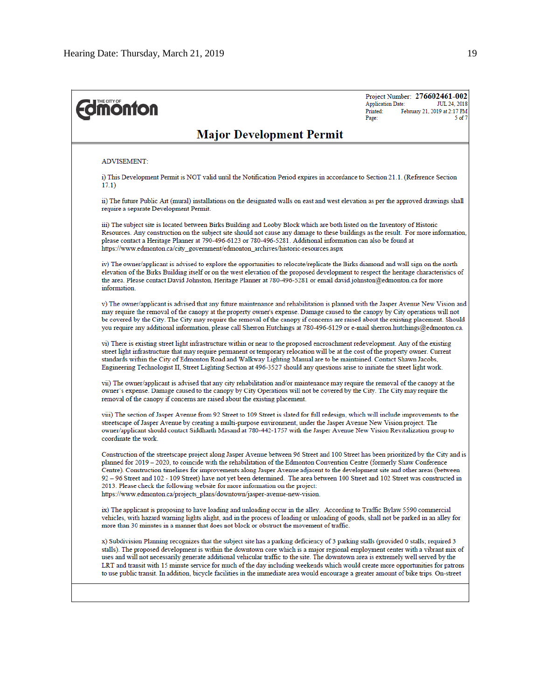Project Number: 276602461-002 **Application Date:** JUL 24, 2018 Printed: February 21, 2019 at 2:17 PM Page: 5 of 7

## **Major Development Permit**

#### **ADVISEMENT:**

**Edmonton** 

i) This Development Permit is NOT valid until the Notification Period expires in accordance to Section 21.1. (Reference Section  $17.1)$ 

ii) The future Public Art (mural) installations on the designated walls on east and west elevation as per the approved drawings shall require a separate Development Permit.

iii) The subject site is located between Birks Building and Looby Block which are both listed on the Inventory of Historic Resources. Any construction on the subject site should not cause any damage to these buildings as the result. For more information, please contact a Heritage Planner at 790-496-6123 or 780-496-5281. Additional information can also be found at https://www.edmonton.ca/city\_government/edmonton\_archives/historic-resources.aspx

iv) The owner/applicant is advised to explore the opportunities to relocate/replicate the Birks diamond and wall sign on the north elevation of the Birks Building itself or on the west elevation of the proposed development to respect the heritage characteristics of the area. Please contact David Johnston, Heritage Planner at 780-496-5281 or email david johnston@edmonton.ca for more information.

v) The owner/applicant is advised that any future maintenance and rehabilitation is planned with the Jasper Avenue New Vision and may require the removal of the canopy at the property owner's expense. Damage caused to the canopy by City operations will not be covered by the City. The City may require the removal of the canopy if concerns are raised about the existing placement. Should you require any additional information, please call Sherron Hutchings at 780-496-6129 or e-mail sherron.hutchings@edmonton.ca.

vi) There is existing street light infrastructure within or near to the proposed encroachment redevelopment. Any of the existing street light infrastructure that may require permanent or temporary relocation will be at the cost of the property owner. Current standards within the City of Edmonton Road and Walkway Lighting Manual are to be maintained. Contact Shawn Jacobs, Engineering Technologist II, Street Lighting Section at 496-3527 should any questions arise to initiate the street light work.

vii) The owner/applicant is advised that any city rehabilitation and/or maintenance may require the removal of the canopy at the owner's expense. Damage caused to the canopy by City Operations will not be covered by the City. The City may require the removal of the canopy if concerns are raised about the existing placement.

viii) The section of Jasper Avenue from 92 Street to 109 Street is slated for full redesign, which will include improvements to the streetscape of Jasper Avenue by creating a multi-purpose environment, under the Jasper Avenue New Vision project. The owner/applicant should contact Siddharth Masand at 780-442-1757 with the Jasper Avenue New Vision Revitalization group to coordinate the work.

Construction of the streetscape project along Jasper Avenue between 96 Street and 100 Street has been prioritized by the City and is planned for 2019 - 2020, to coincide with the rehabilitation of the Edmonton Convention Centre (formerly Shaw Conference Centre). Construction timelines for improvements along Jasper Avenue adjacent to the development site and other areas (between 92 - 96 Street and 102 - 109 Street) have not yet been determined. The area between 100 Street and 102 Street was constructed in 2013. Please check the following website for more information on the project: https://www.edmonton.ca/projects\_plans/downtown/jasper-avenue-new-vision.

ix) The applicant is proposing to have loading and unloading occur in the alley. According to Traffic Bylaw 5590 commercial vehicles, with hazard warning lights alight, and in the process of loading or unloading of goods, shall not be parked in an alley for more than 30 minutes in a manner that does not block or obstruct the movement of traffic.

x) Subdivision Planning recognizes that the subject site has a parking deficiency of 3 parking stalls (provided 0 stalls; required 3 stalls). The proposed development is within the downtown core which is a major regional employment center with a vibrant mix of uses and will not necessarily generate additional vehicular traffic to the site. The downtown area is extremely well served by the LRT and transit with 15 minute service for much of the day including weekends which would create more opportunities for patrons to use public transit. In addition, bicycle facilities in the immediate area would encourage a greater amount of bike trips. On-street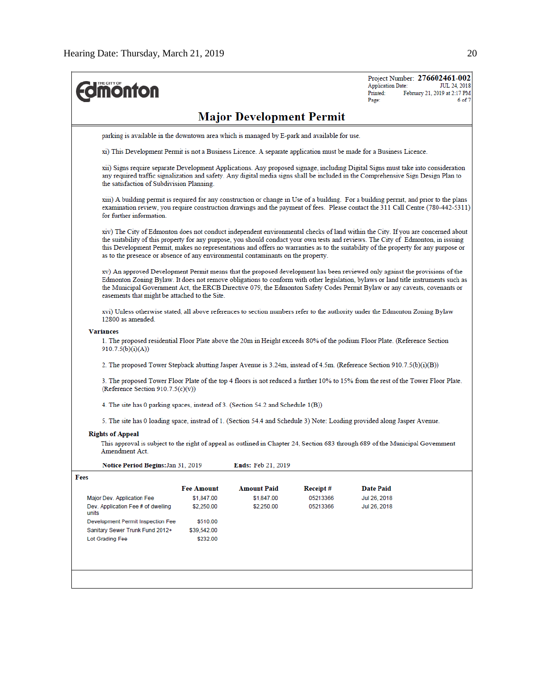| <b>nonton</b>                                                                    |                                                                                                                                                                                                                                                                                                                    |                                 |          | Project Number: 276602461-002<br><b>Application Date:</b><br>JUL 24, 2018<br>Printed:<br>February 21, 2019 at 2:17 PM<br>Page:<br>6 of 7                                                                                                                                                                                                                                                                    |  |  |  |  |  |
|----------------------------------------------------------------------------------|--------------------------------------------------------------------------------------------------------------------------------------------------------------------------------------------------------------------------------------------------------------------------------------------------------------------|---------------------------------|----------|-------------------------------------------------------------------------------------------------------------------------------------------------------------------------------------------------------------------------------------------------------------------------------------------------------------------------------------------------------------------------------------------------------------|--|--|--|--|--|
|                                                                                  |                                                                                                                                                                                                                                                                                                                    | <b>Major Development Permit</b> |          |                                                                                                                                                                                                                                                                                                                                                                                                             |  |  |  |  |  |
|                                                                                  | parking is available in the downtown area which is managed by E-park and available for use.                                                                                                                                                                                                                        |                                 |          |                                                                                                                                                                                                                                                                                                                                                                                                             |  |  |  |  |  |
|                                                                                  |                                                                                                                                                                                                                                                                                                                    |                                 |          | xi) This Development Permit is not a Business Licence. A separate application must be made for a Business Licence.                                                                                                                                                                                                                                                                                          |  |  |  |  |  |
|                                                                                  | xii) Signs require separate Development Applications. Any proposed signage, including Digital Signs must take into consideration<br>any required traffic signalization and safety. Any digital media signs shall be included in the Comprehensive Sign Design Plan to<br>the satisfaction of Subdivision Planning. |                                 |          |                                                                                                                                                                                                                                                                                                                                                                                                             |  |  |  |  |  |
| for further information.                                                         |                                                                                                                                                                                                                                                                                                                    |                                 |          | xiii) A building permit is required for any construction or change in Use of a building. For a building permit, and prior to the plans<br>examination review, you require construction drawings and the payment of fees. Please contact the 311 Call Centre (780-442-5311)                                                                                                                                  |  |  |  |  |  |
| as to the presence or absence of any environmental contaminants on the property. |                                                                                                                                                                                                                                                                                                                    |                                 |          | xiv) The City of Edmonton does not conduct independent environmental checks of land within the City. If you are concerned about<br>the suitability of this property for any purpose, you should conduct your own tests and reviews. The City of Edmonton, in issuing<br>this Development Permit, makes no representations and offers no warranties as to the suitability of the property for any purpose or |  |  |  |  |  |
| easements that might be attached to the Site.                                    |                                                                                                                                                                                                                                                                                                                    |                                 |          | xv) An approved Development Permit means that the proposed development has been reviewed only against the provisions of the<br>Edmonton Zoning Bylaw. It does not remove obligations to conform with other legislation, bylaws or land title instruments such as<br>the Municipal Government Act, the ERCB Directive 079, the Edmonton Safety Codes Permit Bylaw or any caveats, covenants or               |  |  |  |  |  |
| 12800 as amended.                                                                |                                                                                                                                                                                                                                                                                                                    |                                 |          | xvi) Unless otherwise stated, all above references to section numbers refer to the authority under the Edmonton Zoning Bylaw                                                                                                                                                                                                                                                                                |  |  |  |  |  |
| <b>Variances</b>                                                                 |                                                                                                                                                                                                                                                                                                                    |                                 |          |                                                                                                                                                                                                                                                                                                                                                                                                             |  |  |  |  |  |
| 910.7.5(b)(i)(A))                                                                |                                                                                                                                                                                                                                                                                                                    |                                 |          | 1. The proposed residential Floor Plate above the 20m in Height exceeds 80% of the podium Floor Plate. (Reference Section                                                                                                                                                                                                                                                                                   |  |  |  |  |  |
|                                                                                  |                                                                                                                                                                                                                                                                                                                    |                                 |          | 2. The proposed Tower Stepback abutting Jasper Avenue is 3.24m, instead of 4.5m. (Reference Section 910.7.5(b)(i)(B))                                                                                                                                                                                                                                                                                       |  |  |  |  |  |
| (Reference Section $910.7.5(c)(v)$ )                                             |                                                                                                                                                                                                                                                                                                                    |                                 |          | 3. The proposed Tower Floor Plate of the top 4 floors is not reduced a further 10% to 15% from the rest of the Tower Floor Plate.                                                                                                                                                                                                                                                                           |  |  |  |  |  |
| 4. The site has 0 parking spaces, instead of 3. (Section 54.2 and Schedule 1(B)) |                                                                                                                                                                                                                                                                                                                    |                                 |          |                                                                                                                                                                                                                                                                                                                                                                                                             |  |  |  |  |  |
|                                                                                  |                                                                                                                                                                                                                                                                                                                    |                                 |          | 5. The site has 0 loading space, instead of 1. (Section 54.4 and Schedule 3) Note: Loading provided along Jasper Avenue.                                                                                                                                                                                                                                                                                    |  |  |  |  |  |
| <b>Rights of Appeal</b><br>Amendment Act.                                        |                                                                                                                                                                                                                                                                                                                    |                                 |          | This approval is subject to the right of appeal as outlined in Chapter 24, Section 683 through 689 of the Municipal Government                                                                                                                                                                                                                                                                              |  |  |  |  |  |
| Notice Period Begins: Jan 31, 2019                                               |                                                                                                                                                                                                                                                                                                                    | <b>Ends: Feb 21, 2019</b>       |          |                                                                                                                                                                                                                                                                                                                                                                                                             |  |  |  |  |  |
| Fees                                                                             |                                                                                                                                                                                                                                                                                                                    |                                 |          |                                                                                                                                                                                                                                                                                                                                                                                                             |  |  |  |  |  |
|                                                                                  | <b>Fee Amount</b>                                                                                                                                                                                                                                                                                                  | <b>Amount Paid</b>              | Receipt# | <b>Date Paid</b>                                                                                                                                                                                                                                                                                                                                                                                            |  |  |  |  |  |
| Major Dev. Application Fee                                                       | \$1,847.00                                                                                                                                                                                                                                                                                                         | \$1,847.00                      | 05213366 | Jul 26, 2018                                                                                                                                                                                                                                                                                                                                                                                                |  |  |  |  |  |
| Dev. Application Fee # of dwelling<br>units                                      | \$2,250.00                                                                                                                                                                                                                                                                                                         | \$2,250.00                      | 05213366 | Jul 26, 2018                                                                                                                                                                                                                                                                                                                                                                                                |  |  |  |  |  |
| Development Permit Inspection Fee<br>Sanitary Sewer Trunk Fund 2012+             | \$510.00<br>\$39,542.00                                                                                                                                                                                                                                                                                            |                                 |          |                                                                                                                                                                                                                                                                                                                                                                                                             |  |  |  |  |  |
| Lot Grading Fee                                                                  | \$232.00                                                                                                                                                                                                                                                                                                           |                                 |          |                                                                                                                                                                                                                                                                                                                                                                                                             |  |  |  |  |  |
|                                                                                  |                                                                                                                                                                                                                                                                                                                    |                                 |          |                                                                                                                                                                                                                                                                                                                                                                                                             |  |  |  |  |  |
|                                                                                  |                                                                                                                                                                                                                                                                                                                    |                                 |          |                                                                                                                                                                                                                                                                                                                                                                                                             |  |  |  |  |  |
|                                                                                  |                                                                                                                                                                                                                                                                                                                    |                                 |          |                                                                                                                                                                                                                                                                                                                                                                                                             |  |  |  |  |  |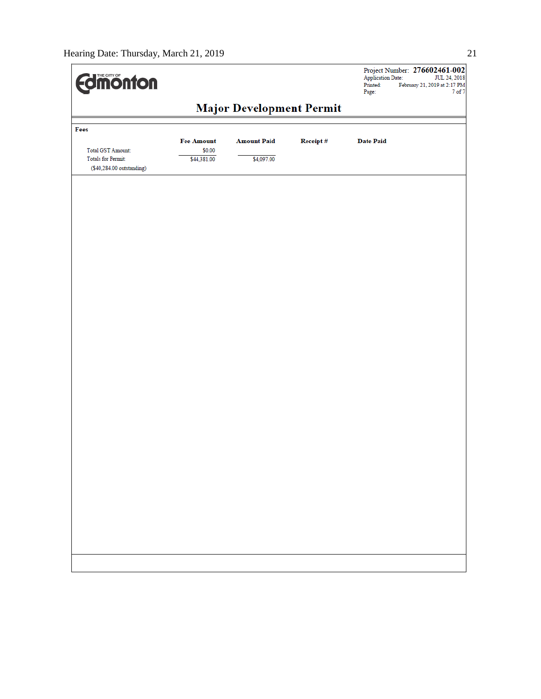| <b>difficution</b>                                                          |                       |                    |          | <b>Application Date:</b><br>Printed:<br>Page: | Project Number: 276602461-002<br>JUL 24, 2018<br>February 21, 2019 at 2:17 PM<br>7 of 7 |  |  |
|-----------------------------------------------------------------------------|-----------------------|--------------------|----------|-----------------------------------------------|-----------------------------------------------------------------------------------------|--|--|
| <b>Major Development Permit</b>                                             |                       |                    |          |                                               |                                                                                         |  |  |
| Fees                                                                        | <b>Fee Amount</b>     | <b>Amount Paid</b> | Receipt# | <b>Date Paid</b>                              |                                                                                         |  |  |
| Total GST Amount:<br><b>Totals for Permit:</b><br>(\$40,284.00 outstanding) | \$0.00<br>\$44,381.00 | \$4,097.00         |          |                                               |                                                                                         |  |  |
|                                                                             |                       |                    |          |                                               |                                                                                         |  |  |
|                                                                             |                       |                    |          |                                               |                                                                                         |  |  |
|                                                                             |                       |                    |          |                                               |                                                                                         |  |  |
|                                                                             |                       |                    |          |                                               |                                                                                         |  |  |
|                                                                             |                       |                    |          |                                               |                                                                                         |  |  |
|                                                                             |                       |                    |          |                                               |                                                                                         |  |  |
|                                                                             |                       |                    |          |                                               |                                                                                         |  |  |
|                                                                             |                       |                    |          |                                               |                                                                                         |  |  |
|                                                                             |                       |                    |          |                                               |                                                                                         |  |  |
|                                                                             |                       |                    |          |                                               |                                                                                         |  |  |
|                                                                             |                       |                    |          |                                               |                                                                                         |  |  |
|                                                                             |                       |                    |          |                                               |                                                                                         |  |  |
|                                                                             |                       |                    |          |                                               |                                                                                         |  |  |
|                                                                             |                       |                    |          |                                               |                                                                                         |  |  |